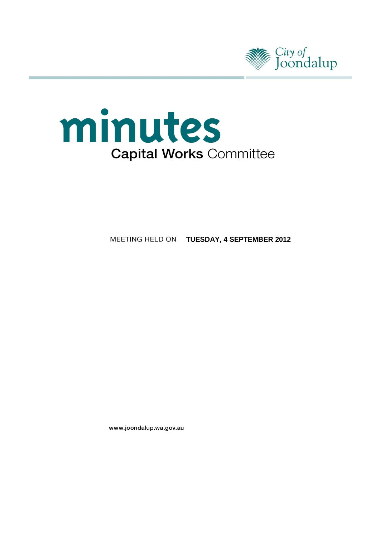



**TUESDAY, 4 SEPTEMBER 2012**

www.joondalup.wa.gov.au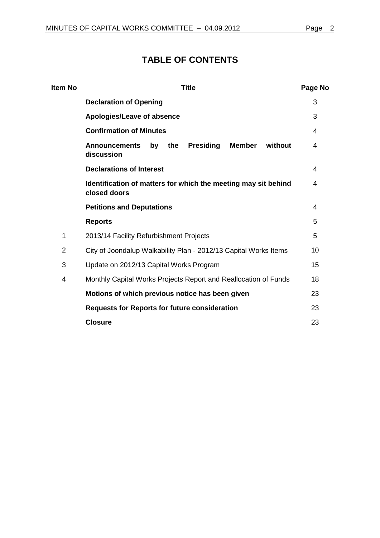# **TABLE OF CONTENTS**

| Item No | <b>Title</b>                                                                                    | Page No |  |
|---------|-------------------------------------------------------------------------------------------------|---------|--|
|         | <b>Declaration of Opening</b>                                                                   | 3       |  |
|         | Apologies/Leave of absence                                                                      | 3       |  |
|         | <b>Confirmation of Minutes</b>                                                                  | 4       |  |
|         | <b>Presiding</b><br><b>Member</b><br><b>Announcements</b><br>the<br>without<br>by<br>discussion | 4       |  |
|         | <b>Declarations of Interest</b>                                                                 | 4       |  |
|         | Identification of matters for which the meeting may sit behind<br>closed doors                  |         |  |
|         | <b>Petitions and Deputations</b>                                                                |         |  |
|         | <b>Reports</b>                                                                                  | 5       |  |
| 1       | 2013/14 Facility Refurbishment Projects                                                         |         |  |
| 2       | City of Joondalup Walkability Plan - 2012/13 Capital Works Items                                |         |  |
| 3       | Update on 2012/13 Capital Works Program                                                         |         |  |
| 4       | Monthly Capital Works Projects Report and Reallocation of Funds                                 | 18      |  |
|         | Motions of which previous notice has been given                                                 | 23      |  |
|         | <b>Requests for Reports for future consideration</b>                                            | 23      |  |
|         | <b>Closure</b>                                                                                  | 23      |  |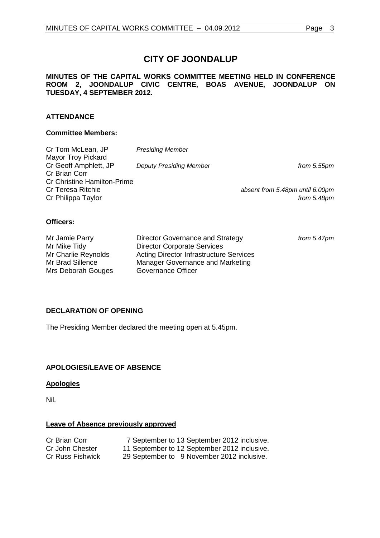#### **MINUTES OF THE CAPITAL WORKS COMMITTEE MEETING HELD IN CONFERENCE ROOM 2, JOONDALUP CIVIC CENTRE, BOAS AVENUE, JOONDALUP ON TUESDAY, 4 SEPTEMBER 2012.**

# **ATTENDANCE**

#### **Committee Members:**

| Cr Tom McLean, JP                  | <b>Presiding Member</b>        |                                 |
|------------------------------------|--------------------------------|---------------------------------|
| <b>Mayor Troy Pickard</b>          |                                |                                 |
| Cr Geoff Amphlett, JP              | <b>Deputy Presiding Member</b> | from $5.55$ pm                  |
| Cr Brian Corr                      |                                |                                 |
| <b>Cr Christine Hamilton-Prime</b> |                                |                                 |
| Cr Teresa Ritchie                  |                                | absent from 5.48pm until 6.00pm |
| Cr Philippa Taylor                 |                                | from 5.48pm                     |

## **Officers:**

| Mr Jamie Parry      | Director Governance and Strategy               | from 5.47pm |
|---------------------|------------------------------------------------|-------------|
| Mr Mike Tidy        | <b>Director Corporate Services</b>             |             |
| Mr Charlie Reynolds | <b>Acting Director Infrastructure Services</b> |             |
| Mr Brad Sillence    | Manager Governance and Marketing               |             |
| Mrs Deborah Gouges  | Governance Officer                             |             |

# <span id="page-2-0"></span>**DECLARATION OF OPENING**

The Presiding Member declared the meeting open at 5.45pm.

# <span id="page-2-1"></span>**APOLOGIES/LEAVE OF ABSENCE**

# **Apologies**

Nil.

## **Leave of Absence previously approved**

| Cr Brian Corr    | 7 September to 13 September 2012 inclusive.  |
|------------------|----------------------------------------------|
| Cr John Chester  | 11 September to 12 September 2012 inclusive. |
| Cr Russ Fishwick | 29 September to 9 November 2012 inclusive.   |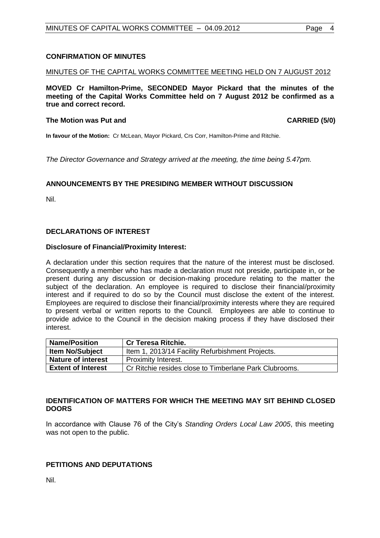## <span id="page-3-0"></span>**CONFIRMATION OF MINUTES**

#### MINUTES OF THE CAPITAL WORKS COMMITTEE MEETING HELD ON 7 AUGUST 2012

**MOVED Cr Hamilton-Prime, SECONDED Mayor Pickard that the minutes of the meeting of the Capital Works Committee held on 7 August 2012 be confirmed as a true and correct record.**

#### The Motion was Put and **CARRIED** (5/0)

**In favour of the Motion:** Cr McLean, Mayor Pickard, Crs Corr, Hamilton-Prime and Ritchie.

*The Director Governance and Strategy arrived at the meeting, the time being 5.47pm.* 

#### <span id="page-3-1"></span>**ANNOUNCEMENTS BY THE PRESIDING MEMBER WITHOUT DISCUSSION**

Nil.

#### <span id="page-3-2"></span>**DECLARATIONS OF INTEREST**

#### **Disclosure of Financial/Proximity Interest:**

A declaration under this section requires that the nature of the interest must be disclosed. Consequently a member who has made a declaration must not preside, participate in, or be present during any discussion or decision-making procedure relating to the matter the subject of the declaration. An employee is required to disclose their financial/proximity interest and if required to do so by the Council must disclose the extent of the interest. Employees are required to disclose their financial/proximity interests where they are required to present verbal or written reports to the Council. Employees are able to continue to provide advice to the Council in the decision making process if they have disclosed their interest.

| <b>Name/Position</b>      | <b>Cr Teresa Ritchie.</b>                              |  |  |
|---------------------------|--------------------------------------------------------|--|--|
| <b>Item No/Subject</b>    | Item 1, 2013/14 Facility Refurbishment Projects.       |  |  |
| <b>Nature of interest</b> | Proximity Interest.                                    |  |  |
| <b>Extent of Interest</b> | Cr Ritchie resides close to Timberlane Park Clubrooms. |  |  |

#### <span id="page-3-3"></span>**IDENTIFICATION OF MATTERS FOR WHICH THE MEETING MAY SIT BEHIND CLOSED DOORS**

In accordance with Clause 76 of the City's *Standing Orders Local Law 2005*, this meeting was not open to the public.

#### **PETITIONS AND DEPUTATIONS**

Nil.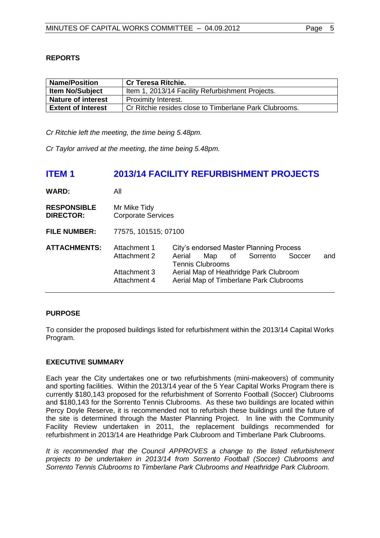# <span id="page-4-0"></span>**REPORTS**

| <b>Name/Position</b>      | <b>Cr Teresa Ritchie.</b>                              |  |  |
|---------------------------|--------------------------------------------------------|--|--|
| <b>Item No/Subject</b>    | Item 1, 2013/14 Facility Refurbishment Projects.       |  |  |
| <b>Nature of interest</b> | Proximity Interest.                                    |  |  |
| <b>Extent of Interest</b> | Cr Ritchie resides close to Timberlane Park Clubrooms. |  |  |

<span id="page-4-1"></span>*Cr Ritchie left the meeting, the time being 5.48pm.* 

*Cr Taylor arrived at the meeting, the time being 5.48pm.*

# **ITEM 1 2013/14 FACILITY REFURBISHMENT PROJECTS**

| <b>WARD:</b>                           | All                                                          |        |                                |                                                                                                                 |                                                                                                                                          |        |     |
|----------------------------------------|--------------------------------------------------------------|--------|--------------------------------|-----------------------------------------------------------------------------------------------------------------|------------------------------------------------------------------------------------------------------------------------------------------|--------|-----|
| <b>RESPONSIBLE</b><br><b>DIRECTOR:</b> | Mr Mike Tidy<br><b>Corporate Services</b>                    |        |                                |                                                                                                                 |                                                                                                                                          |        |     |
| <b>FILE NUMBER:</b>                    | 77575, 101515; 07100                                         |        |                                |                                                                                                                 |                                                                                                                                          |        |     |
| <b>ATTACHMENTS:</b>                    | Attachment 1<br>Attachment 2<br>Attachment 3<br>Attachment 4 | Aerial | Map<br><b>Tennis Clubrooms</b> | of the origin of the original policies in the original of the context of the context of the original policies i | City's endorsed Master Planning Process<br>Sorrento<br>Aerial Map of Heathridge Park Clubroom<br>Aerial Map of Timberlane Park Clubrooms | Soccer | and |

# **PURPOSE**

To consider the proposed buildings listed for refurbishment within the 2013/14 Capital Works Program.

## **EXECUTIVE SUMMARY**

Each year the City undertakes one or two refurbishments (mini-makeovers) of community and sporting facilities. Within the 2013/14 year of the 5 Year Capital Works Program there is currently \$180,143 proposed for the refurbishment of Sorrento Football (Soccer) Clubrooms and \$180,143 for the Sorrento Tennis Clubrooms. As these two buildings are located within Percy Doyle Reserve, it is recommended not to refurbish these buildings until the future of the site is determined through the Master Planning Project. In line with the Community Facility Review undertaken in 2011, the replacement buildings recommended for refurbishment in 2013/14 are Heathridge Park Clubroom and Timberlane Park Clubrooms.

*It is recommended that the Council APPROVES a change to the listed refurbishment projects to be undertaken in 2013/14 from Sorrento Football (Soccer) Clubrooms and Sorrento Tennis Clubrooms to Timberlane Park Clubrooms and Heathridge Park Clubroom.*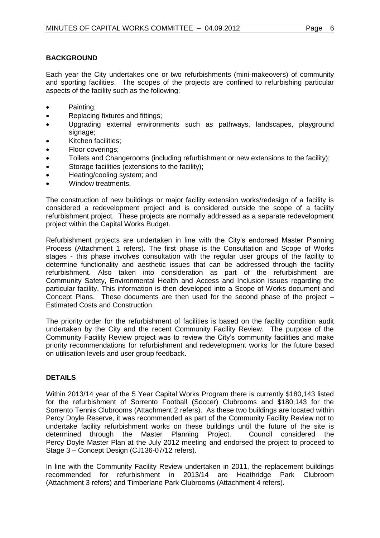# **BACKGROUND**

Each year the City undertakes one or two refurbishments (mini-makeovers) of community and sporting facilities. The scopes of the projects are confined to refurbishing particular aspects of the facility such as the following:

- Painting;
- Replacing fixtures and fittings;
- Upgrading external environments such as pathways, landscapes, playground signage;
- Kitchen facilities;
- Floor coverings;
- Toilets and Changerooms (including refurbishment or new extensions to the facility);
- Storage facilities (extensions to the facility);
- Heating/cooling system; and
- Window treatments.

The construction of new buildings or major facility extension works/redesign of a facility is considered a redevelopment project and is considered outside the scope of a facility refurbishment project. These projects are normally addressed as a separate redevelopment project within the Capital Works Budget.

Refurbishment projects are undertaken in line with the City's endorsed Master Planning Process (Attachment 1 refers). The first phase is the Consultation and Scope of Works stages - this phase involves consultation with the regular user groups of the facility to determine functionality and aesthetic issues that can be addressed through the facility refurbishment. Also taken into consideration as part of the refurbishment are Community Safety, Environmental Health and Access and Inclusion issues regarding the particular facility. This information is then developed into a Scope of Works document and Concept Plans. These documents are then used for the second phase of the project – Estimated Costs and Construction.

The priority order for the refurbishment of facilities is based on the facility condition audit undertaken by the City and the recent Community Facility Review. The purpose of the Community Facility Review project was to review the City's community facilities and make priority recommendations for refurbishment and redevelopment works for the future based on utilisation levels and user group feedback.

## **DETAILS**

Within 2013/14 year of the 5 Year Capital Works Program there is currently \$180,143 listed for the refurbishment of Sorrento Football (Soccer) Clubrooms and \$180,143 for the Sorrento Tennis Clubrooms (Attachment 2 refers). As these two buildings are located within Percy Doyle Reserve, it was recommended as part of the Community Facility Review not to undertake facility refurbishment works on these buildings until the future of the site is determined through the Master Planning Project. Council considered the determined through the Master Planning Project. Council considered the Percy Doyle Master Plan at the July 2012 meeting and endorsed the project to proceed to Stage 3 – Concept Design (CJ136-07/12 refers).

In line with the Community Facility Review undertaken in 2011, the replacement buildings recommended for refurbishment in 2013/14 are Heathridge Park Clubroom (Attachment 3 refers) and Timberlane Park Clubrooms (Attachment 4 refers).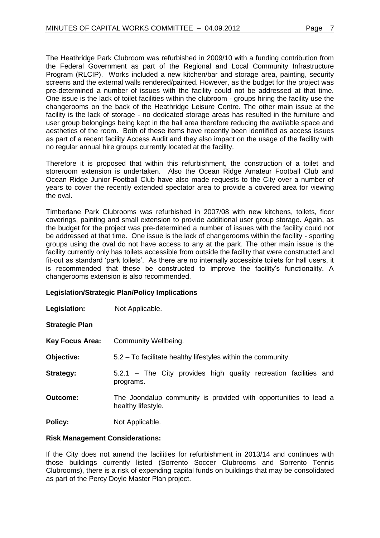The Heathridge Park Clubroom was refurbished in 2009/10 with a funding contribution from the Federal Government as part of the Regional and Local Community Infrastructure Program (RLCIP). Works included a new kitchen/bar and storage area, painting, security screens and the external walls rendered/painted. However, as the budget for the project was pre-determined a number of issues with the facility could not be addressed at that time. One issue is the lack of toilet facilities within the clubroom - groups hiring the facility use the changerooms on the back of the Heathridge Leisure Centre. The other main issue at the facility is the lack of storage - no dedicated storage areas has resulted in the furniture and user group belongings being kept in the hall area therefore reducing the available space and aesthetics of the room. Both of these items have recently been identified as access issues as part of a recent facility Access Audit and they also impact on the usage of the facility with no regular annual hire groups currently located at the facility.

Therefore it is proposed that within this refurbishment, the construction of a toilet and storeroom extension is undertaken. Also the Ocean Ridge Amateur Football Club and Ocean Ridge Junior Football Club have also made requests to the City over a number of years to cover the recently extended spectator area to provide a covered area for viewing the oval.

Timberlane Park Clubrooms was refurbished in 2007/08 with new kitchens, toilets, floor coverings, painting and small extension to provide additional user group storage. Again, as the budget for the project was pre-determined a number of issues with the facility could not be addressed at that time. One issue is the lack of changerooms within the facility - sporting groups using the oval do not have access to any at the park. The other main issue is the facility currently only has toilets accessible from outside the facility that were constructed and fit-out as standard 'park toilets'. As there are no internally accessible toilets for hall users, it is recommended that these be constructed to improve the facility's functionality. A changerooms extension is also recommended.

## **Legislation/Strategic Plan/Policy Implications**

**Legislation:** Not Applicable.

**Strategic Plan**

| <b>Key Focus Area:</b> | Community Wellbeing. |
|------------------------|----------------------|
|                        |                      |

- **Objective:** 5.2 To facilitate healthy lifestyles within the community.
- **Strategy:** 5.2.1 The City provides high quality recreation facilities and programs.
- **Outcome:** The Joondalup community is provided with opportunities to lead a healthy lifestyle.

**Policy:** Not Applicable.

#### **Risk Management Considerations:**

If the City does not amend the facilities for refurbishment in 2013/14 and continues with those buildings currently listed (Sorrento Soccer Clubrooms and Sorrento Tennis Clubrooms), there is a risk of expending capital funds on buildings that may be consolidated as part of the Percy Doyle Master Plan project.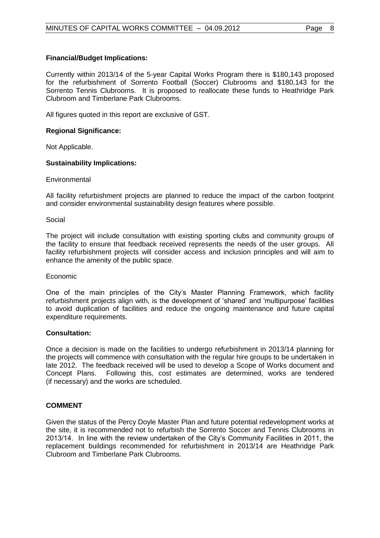Currently within 2013/14 of the 5-year Capital Works Program there is \$180,143 proposed for the refurbishment of Sorrento Football (Soccer) Clubrooms and \$180,143 for the Sorrento Tennis Clubrooms. It is proposed to reallocate these funds to Heathridge Park Clubroom and Timberlane Park Clubrooms.

All figures quoted in this report are exclusive of GST.

#### **Regional Significance:**

Not Applicable.

#### **Sustainability Implications:**

**Environmental** 

All facility refurbishment projects are planned to reduce the impact of the carbon footprint and consider environmental sustainability design features where possible.

Social

The project will include consultation with existing sporting clubs and community groups of the facility to ensure that feedback received represents the needs of the user groups. All facility refurbishment projects will consider access and inclusion principles and will aim to enhance the amenity of the public space.

#### Economic

One of the main principles of the City's Master Planning Framework, which facility refurbishment projects align with, is the development of 'shared' and 'multipurpose' facilities to avoid duplication of facilities and reduce the ongoing maintenance and future capital expenditure requirements.

#### **Consultation:**

Once a decision is made on the facilities to undergo refurbishment in 2013/14 planning for the projects will commence with consultation with the regular hire groups to be undertaken in late 2012. The feedback received will be used to develop a Scope of Works document and Concept Plans. Following this, cost estimates are determined, works are tendered (if necessary) and the works are scheduled.

## **COMMENT**

Given the status of the Percy Doyle Master Plan and future potential redevelopment works at the site, it is recommended not to refurbish the Sorrento Soccer and Tennis Clubrooms in 2013/14. In line with the review undertaken of the City's Community Facilities in 2011, the replacement buildings recommended for refurbishment in 2013/14 are Heathridge Park Clubroom and Timberlane Park Clubrooms.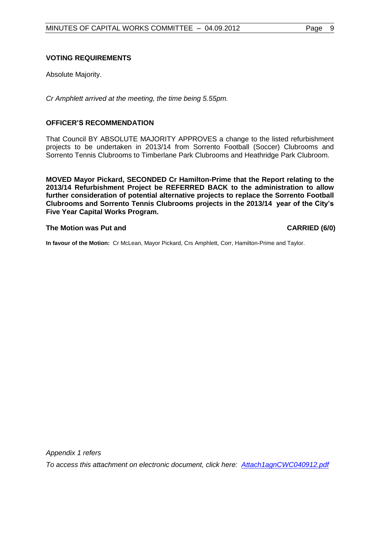## **VOTING REQUIREMENTS**

Absolute Majority.

*Cr Amphlett arrived at the meeting, the time being 5.55pm.*

## **OFFICER'S RECOMMENDATION**

That Council BY ABSOLUTE MAJORITY APPROVES a change to the listed refurbishment projects to be undertaken in 2013/14 from Sorrento Football (Soccer) Clubrooms and Sorrento Tennis Clubrooms to Timberlane Park Clubrooms and Heathridge Park Clubroom.

**MOVED Mayor Pickard, SECONDED Cr Hamilton-Prime that the Report relating to the 2013/14 Refurbishment Project be REFERRED BACK to the administration to allow further consideration of potential alternative projects to replace the Sorrento Football Clubrooms and Sorrento Tennis Clubrooms projects in the 2013/14 year of the City's Five Year Capital Works Program.** 

#### **The Motion was Put and CARRIED (6/0) CARRIED (6/0)**

**In favour of the Motion:** Cr McLean, Mayor Pickard, Crs Amphlett, Corr, Hamilton-Prime and Taylor.

*Appendix 1 refers*

*To access this attachment on electronic document, click her[e:](Attach1agnCWC040912.pdf) [Attach1agnCWC040912.pdf](Attachments/Attach1agnCWC040912.pdf)*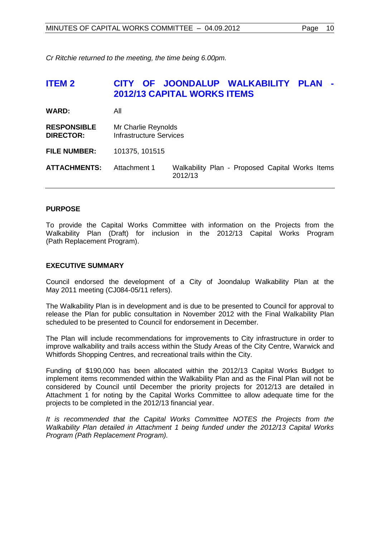*Cr Ritchie returned to the meeting, the time being 6.00pm.* 

# <span id="page-9-0"></span>**ITEM 2 CITY OF JOONDALUP WALKABILITY PLAN - 2012/13 CAPITAL WORKS ITEMS**

| <b>WARD:</b>                           | All                                                   |                                                            |  |  |
|----------------------------------------|-------------------------------------------------------|------------------------------------------------------------|--|--|
| <b>RESPONSIBLE</b><br><b>DIRECTOR:</b> | Mr Charlie Reynolds<br><b>Infrastructure Services</b> |                                                            |  |  |
| <b>FILE NUMBER:</b>                    | 101375, 101515                                        |                                                            |  |  |
| <b>ATTACHMENTS:</b>                    | Attachment 1                                          | Walkability Plan - Proposed Capital Works Items<br>2012/13 |  |  |

# **PURPOSE**

To provide the Capital Works Committee with information on the Projects from the Walkability Plan (Draft) for inclusion in the 2012/13 Capital Works Program (Path Replacement Program).

#### **EXECUTIVE SUMMARY**

Council endorsed the development of a City of Joondalup Walkability Plan at the May 2011 meeting (CJ084-05/11 refers).

The Walkability Plan is in development and is due to be presented to Council for approval to release the Plan for public consultation in November 2012 with the Final Walkability Plan scheduled to be presented to Council for endorsement in December.

The Plan will include recommendations for improvements to City infrastructure in order to improve walkability and trails access within the Study Areas of the City Centre, Warwick and Whitfords Shopping Centres, and recreational trails within the City.

Funding of \$190,000 has been allocated within the 2012/13 Capital Works Budget to implement items recommended within the Walkability Plan and as the Final Plan will not be considered by Council until December the priority projects for 2012/13 are detailed in Attachment 1 for noting by the Capital Works Committee to allow adequate time for the projects to be completed in the 2012/13 financial year.

*It is recommended that the Capital Works Committee NOTES the Projects from the Walkability Plan detailed in Attachment 1 being funded under the 2012/13 Capital Works Program (Path Replacement Program).*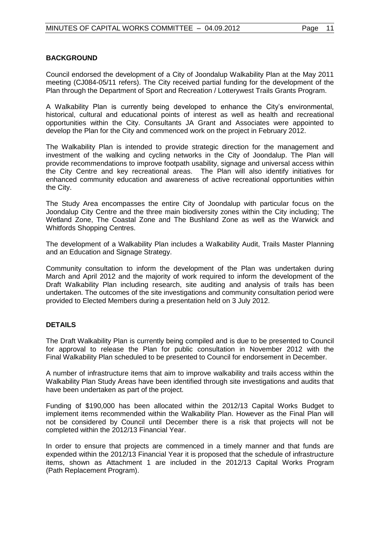# **BACKGROUND**

Council endorsed the development of a City of Joondalup Walkability Plan at the May 2011 meeting (CJ084-05/11 refers). The City received partial funding for the development of the Plan through the Department of Sport and Recreation / Lotterywest Trails Grants Program.

A Walkability Plan is currently being developed to enhance the City's environmental, historical, cultural and educational points of interest as well as health and recreational opportunities within the City. Consultants JA Grant and Associates were appointed to develop the Plan for the City and commenced work on the project in February 2012.

The Walkability Plan is intended to provide strategic direction for the management and investment of the walking and cycling networks in the City of Joondalup. The Plan will provide recommendations to improve footpath usability, signage and universal access within the City Centre and key recreational areas. The Plan will also identify initiatives for enhanced community education and awareness of active recreational opportunities within the City.

The Study Area encompasses the entire City of Joondalup with particular focus on the Joondalup City Centre and the three main biodiversity zones within the City including; The Wetland Zone, The Coastal Zone and The Bushland Zone as well as the Warwick and Whitfords Shopping Centres.

The development of a Walkability Plan includes a Walkability Audit, Trails Master Planning and an Education and Signage Strategy.

Community consultation to inform the development of the Plan was undertaken during March and April 2012 and the majority of work required to inform the development of the Draft Walkability Plan including research, site auditing and analysis of trails has been undertaken. The outcomes of the site investigations and community consultation period were provided to Elected Members during a presentation held on 3 July 2012.

## **DETAILS**

The Draft Walkability Plan is currently being compiled and is due to be presented to Council for approval to release the Plan for public consultation in November 2012 with the Final Walkability Plan scheduled to be presented to Council for endorsement in December.

A number of infrastructure items that aim to improve walkability and trails access within the Walkability Plan Study Areas have been identified through site investigations and audits that have been undertaken as part of the project.

Funding of \$190,000 has been allocated within the 2012/13 Capital Works Budget to implement items recommended within the Walkability Plan. However as the Final Plan will not be considered by Council until December there is a risk that projects will not be completed within the 2012/13 Financial Year.

In order to ensure that projects are commenced in a timely manner and that funds are expended within the 2012/13 Financial Year it is proposed that the schedule of infrastructure items, shown as Attachment 1 are included in the 2012/13 Capital Works Program (Path Replacement Program).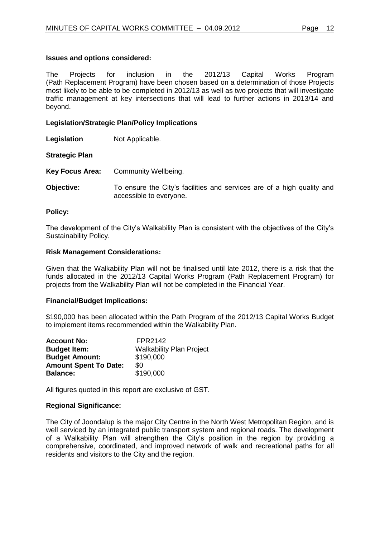#### **Issues and options considered:**

The Projects for inclusion in the 2012/13 Capital Works Program (Path Replacement Program) have been chosen based on a determination of those Projects most likely to be able to be completed in 2012/13 as well as two projects that will investigate traffic management at key intersections that will lead to further actions in 2013/14 and beyond.

#### **Legislation/Strategic Plan/Policy Implications**

**Legislation** Not Applicable.

**Strategic Plan**

- **Key Focus Area:** Community Wellbeing.
- **Objective:** To ensure the City's facilities and services are of a high quality and accessible to everyone.

#### **Policy:**

The development of the City's Walkability Plan is consistent with the objectives of the City's Sustainability Policy.

#### **Risk Management Considerations:**

Given that the Walkability Plan will not be finalised until late 2012, there is a risk that the funds allocated in the 2012/13 Capital Works Program (Path Replacement Program) for projects from the Walkability Plan will not be completed in the Financial Year.

#### **Financial/Budget Implications:**

\$190,000 has been allocated within the Path Program of the 2012/13 Capital Works Budget to implement items recommended within the Walkability Plan.

| <b>Account No:</b>           | FPR2142                         |
|------------------------------|---------------------------------|
| <b>Budget Item:</b>          | <b>Walkability Plan Project</b> |
| <b>Budget Amount:</b>        | \$190,000                       |
| <b>Amount Spent To Date:</b> | \$0                             |
| <b>Balance:</b>              | \$190,000                       |

All figures quoted in this report are exclusive of GST.

#### **Regional Significance:**

The City of Joondalup is the major City Centre in the North West Metropolitan Region, and is well serviced by an integrated public transport system and regional roads. The development of a Walkability Plan will strengthen the City's position in the region by providing a comprehensive, coordinated, and improved network of walk and recreational paths for all residents and visitors to the City and the region.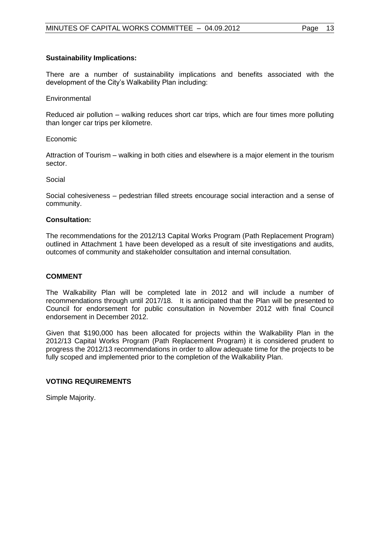## **Sustainability Implications:**

There are a number of sustainability implications and benefits associated with the development of the City's Walkability Plan including:

#### **Environmental**

Reduced air pollution – walking reduces short car trips, which are four times more polluting than longer car trips per kilometre.

#### Economic

Attraction of Tourism – walking in both cities and elsewhere is a major element in the tourism sector.

#### Social

Social cohesiveness – pedestrian filled streets encourage social interaction and a sense of community.

#### **Consultation:**

The recommendations for the 2012/13 Capital Works Program (Path Replacement Program) outlined in Attachment 1 have been developed as a result of site investigations and audits, outcomes of community and stakeholder consultation and internal consultation.

## **COMMENT**

The Walkability Plan will be completed late in 2012 and will include a number of recommendations through until 2017/18. It is anticipated that the Plan will be presented to Council for endorsement for public consultation in November 2012 with final Council endorsement in December 2012.

Given that \$190,000 has been allocated for projects within the Walkability Plan in the 2012/13 Capital Works Program (Path Replacement Program) it is considered prudent to progress the 2012/13 recommendations in order to allow adequate time for the projects to be fully scoped and implemented prior to the completion of the Walkability Plan.

## **VOTING REQUIREMENTS**

Simple Majority.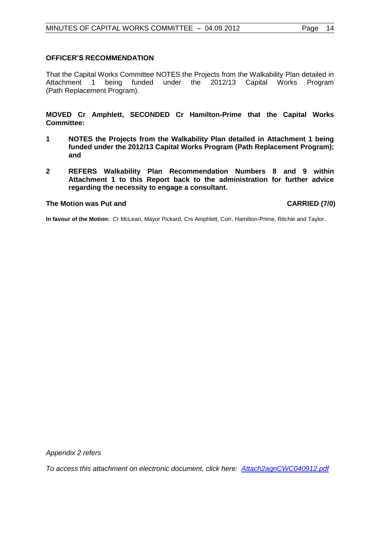#### **OFFICER'S RECOMMENDATION**

That the Capital Works Committee NOTES the Projects from the Walkability Plan detailed in Attachment 1 being funded under the 2012/13 Capital Works Program (Path Replacement Program).

**MOVED Cr Amphlett, SECONDED Cr Hamilton-Prime that the Capital Works Committee:**

- **1 NOTES the Projects from the Walkability Plan detailed in Attachment 1 being funded under the 2012/13 Capital Works Program (Path Replacement Program); and**
- **2 REFERS Walkability Plan Recommendation Numbers 8 and 9 within Attachment 1 to this Report back to the administration for further advice regarding the necessity to engage a consultant.**

#### **The Motion was Put and CARRIED (7/0)**

**In favour of the Motion:** Cr McLean, Mayor Pickard, Crs Amphlett, Corr, Hamilton-Prime, Ritchie and Taylor.

*Appendix 2 refers*

*To access this attachment on electronic document, click her[e: Attach2agnCWC040912.pdf](Attach2agnCWC040912.pdf)*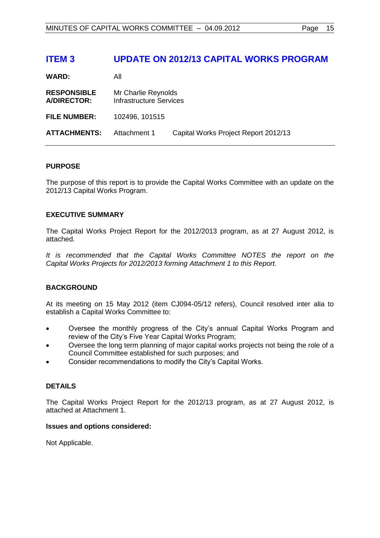# <span id="page-14-0"></span>**ITEM 3 UPDATE ON 2012/13 CAPITAL WORKS PROGRAM**

**WARD:** All

**RESPONSIBLE** Mr Charlie Reynolds **A/DIRECTOR:** Infrastructure Services **FILE NUMBER:** 102496, 101515 **ATTACHMENTS:** Attachment 1 Capital Works Project Report 2012/13

#### **PURPOSE**

The purpose of this report is to provide the Capital Works Committee with an update on the 2012/13 Capital Works Program.

#### **EXECUTIVE SUMMARY**

The Capital Works Project Report for the 2012/2013 program, as at 27 August 2012, is attached.

*It is recommended that the Capital Works Committee NOTES the report on the Capital Works Projects for 2012/2013 forming Attachment 1 to this Report.*

## **BACKGROUND**

At its meeting on 15 May 2012 (item CJ094-05/12 refers), Council resolved inter alia to establish a Capital Works Committee to:

- Oversee the monthly progress of the City's annual Capital Works Program and review of the City's Five Year Capital Works Program;
- Oversee the long term planning of major capital works projects not being the role of a Council Committee established for such purposes; and
- Consider recommendations to modify the City's Capital Works.

## **DETAILS**

The Capital Works Project Report for the 2012/13 program, as at 27 August 2012, is attached at Attachment 1.

#### **Issues and options considered:**

Not Applicable.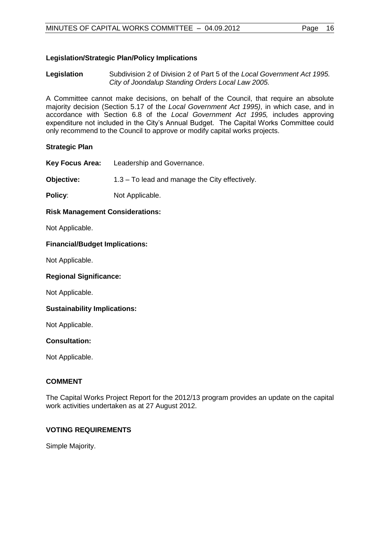# **Legislation/Strategic Plan/Policy Implications**

**Legislation** Subdivision 2 of Division 2 of Part 5 of the *Local Government Act 1995. City of Joondalup Standing Orders Local Law 2005.*

A Committee cannot make decisions, on behalf of the Council, that require an absolute majority decision (Section 5.17 of the *Local Government Act 1995)*, in which case, and in accordance with Section 6.8 of the *Local Government Act 1995,* includes approving expenditure not included in the City's Annual Budget. The Capital Works Committee could only recommend to the Council to approve or modify capital works projects.

#### **Strategic Plan**

**Key Focus Area:** Leadership and Governance.

**Objective:** 1.3 – To lead and manage the City effectively.

**Policy:** Not Applicable.

#### **Risk Management Considerations:**

Not Applicable.

#### **Financial/Budget Implications:**

Not Applicable.

#### **Regional Significance:**

Not Applicable.

## **Sustainability Implications:**

Not Applicable.

#### **Consultation:**

Not Applicable.

## **COMMENT**

The Capital Works Project Report for the 2012/13 program provides an update on the capital work activities undertaken as at 27 August 2012.

# **VOTING REQUIREMENTS**

Simple Majority.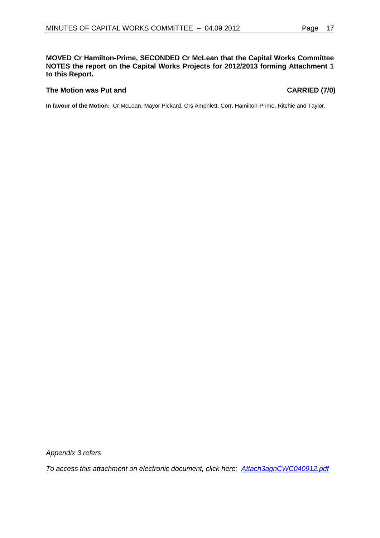#### **MOVED Cr Hamilton-Prime, SECONDED Cr McLean that the Capital Works Committee NOTES the report on the Capital Works Projects for 2012/2013 forming Attachment 1 to this Report.**

#### The Motion was Put and **CARRIED** (7/0)

**In favour of the Motion:** Cr McLean, Mayor Pickard, Crs Amphlett, Corr, Hamilton-Prime, Ritchie and Taylor.

*Appendix 3 refers*

*To access this attachment on electronic document, click her[e: Attach3agnCWC040912.pdf](Attach3agnCWC040912.pdf)*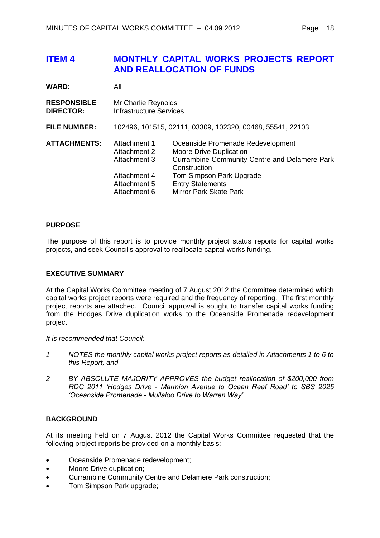# <span id="page-17-0"></span>**ITEM 4 MONTHLY CAPITAL WORKS PROJECTS REPORT AND REALLOCATION OF FUNDS**

| <b>WARD:</b>                           | All                                                                                          |                                                                                                                                                                                                                              |  |
|----------------------------------------|----------------------------------------------------------------------------------------------|------------------------------------------------------------------------------------------------------------------------------------------------------------------------------------------------------------------------------|--|
| <b>RESPONSIBLE</b><br><b>DIRECTOR:</b> | Mr Charlie Reynolds<br>Infrastructure Services                                               |                                                                                                                                                                                                                              |  |
| <b>FILE NUMBER:</b>                    | 102496, 101515, 02111, 03309, 102320, 00468, 55541, 22103                                    |                                                                                                                                                                                                                              |  |
| <b>ATTACHMENTS:</b>                    | Attachment 1<br>Attachment 2<br>Attachment 3<br>Attachment 4<br>Attachment 5<br>Attachment 6 | Oceanside Promenade Redevelopment<br><b>Moore Drive Duplication</b><br><b>Currambine Community Centre and Delamere Park</b><br>Construction<br>Tom Simpson Park Upgrade<br><b>Entry Statements</b><br>Mirror Park Skate Park |  |

# **PURPOSE**

The purpose of this report is to provide monthly project status reports for capital works projects, and seek Council's approval to reallocate capital works funding.

# **EXECUTIVE SUMMARY**

At the Capital Works Committee meeting of 7 August 2012 the Committee determined which capital works project reports were required and the frequency of reporting. The first monthly project reports are attached. Council approval is sought to transfer capital works funding from the Hodges Drive duplication works to the Oceanside Promenade redevelopment project.

*It is recommended that Council:*

- *1 NOTES the monthly capital works project reports as detailed in Attachments 1 to 6 to this Report; and*
- *2 BY ABSOLUTE MAJORITY APPROVES the budget reallocation of \$200,000 from RDC 2011 'Hodges Drive - Marmion Avenue to Ocean Reef Road' to SBS 2025 'Oceanside Promenade - Mullaloo Drive to Warren Way'.*

# **BACKGROUND**

At its meeting held on 7 August 2012 the Capital Works Committee requested that the following project reports be provided on a monthly basis:

- Oceanside Promenade redevelopment;
- Moore Drive duplication;
- Currambine Community Centre and Delamere Park construction;
- Tom Simpson Park upgrade;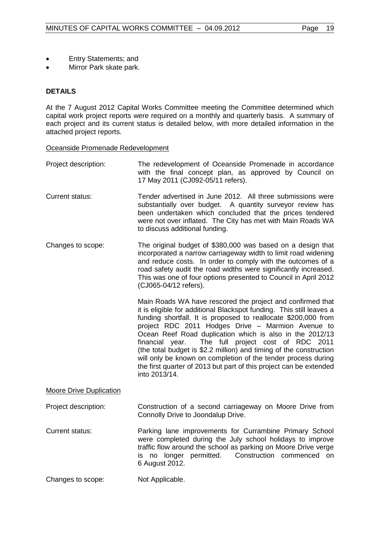- Entry Statements; and
- Mirror Park skate park.

# **DETAILS**

At the 7 August 2012 Capital Works Committee meeting the Committee determined which capital work project reports were required on a monthly and quarterly basis. A summary of each project and its current status is detailed below, with more detailed information in the attached project reports.

#### Oceanside Promenade Redevelopment

- Project description: The redevelopment of Oceanside Promenade in accordance with the final concept plan, as approved by Council on 17 May 2011 (CJ092-05/11 refers). Current status: Tender advertised in June 2012. All three submissions were substantially over budget. A quantity surveyor review has been undertaken which concluded that the prices tendered were not over inflated. The City has met with Main Roads WA to discuss additional funding. Changes to scope: The original budget of \$380,000 was based on a design that incorporated a narrow carriageway width to limit road widening and reduce costs. In order to comply with the outcomes of a road safety audit the road widths were significantly increased. This was one of four options presented to Council in April 2012 (CJ065-04/12 refers). Main Roads WA have rescored the project and confirmed that it is eligible for additional Blackspot funding. This still leaves a funding shortfall. It is proposed to reallocate \$200,000 from project RDC 2011 Hodges Drive – Marmion Avenue to Ocean Reef Road duplication which is also in the 2012/13 financial year. The full project cost of RDC 2011 (the total budget is \$2.2 million) and timing of the construction will only be known on completion of the tender process during the first quarter of 2013 but part of this project can be extended into 2013/14. Moore Drive Duplication Project description: Construction of a second carriageway on Moore Drive from Connolly Drive to Joondalup Drive. Current status: Parking lane improvements for Currambine Primary School were completed during the July school holidays to improve traffic flow around the school as parking on Moore Drive verge is no longer permitted. Construction commenced on
- Changes to scope: Not Applicable.

6 August 2012.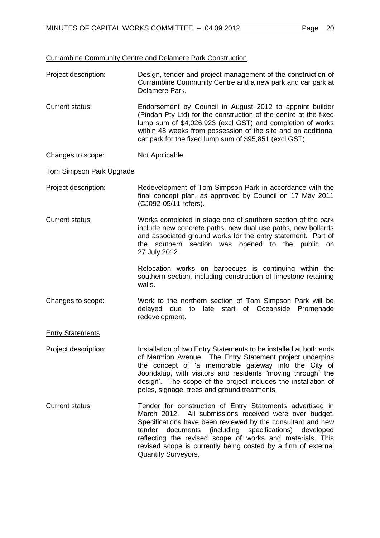#### Currambine Community Centre and Delamere Park Construction

- Project description: Design, tender and project management of the construction of Currambine Community Centre and a new park and car park at Delamere Park.
- Current status: Endorsement by Council in August 2012 to appoint builder (Pindan Pty Ltd) for the construction of the centre at the fixed lump sum of \$4,026,923 (excl GST) and completion of works within 48 weeks from possession of the site and an additional car park for the fixed lump sum of \$95,851 (excl GST).
- Changes to scope: Not Applicable.

## Tom Simpson Park Upgrade

- Project description: Redevelopment of Tom Simpson Park in accordance with the final concept plan, as approved by Council on 17 May 2011 (CJ092-05/11 refers).
- Current status: Works completed in stage one of southern section of the park include new concrete paths, new dual use paths, new bollards and associated ground works for the entry statement. Part of the southern section was opened to the public on 27 July 2012.

Relocation works on barbecues is continuing within the southern section, including construction of limestone retaining walls.

Changes to scope: Work to the northern section of Tom Simpson Park will be delayed due to late start of Oceanside Promenade redevelopment.

## **Entry Statements**

Project description: Installation of two Entry Statements to be installed at both ends of Marmion Avenue. The Entry Statement project underpins the concept of 'a memorable gateway into the City of Joondalup, with visitors and residents "moving through" the design'. The scope of the project includes the installation of poles, signage, trees and ground treatments.

Current status: Tender for construction of Entry Statements advertised in March 2012. All submissions received were over budget. Specifications have been reviewed by the consultant and new tender documents (including specifications) developed reflecting the revised scope of works and materials. This revised scope is currently being costed by a firm of external Quantity Surveyors.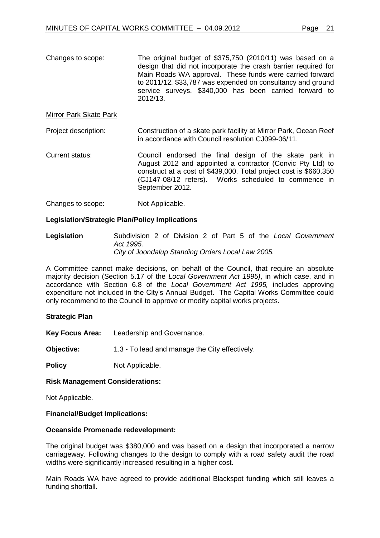Changes to scope: The original budget of \$375,750 (2010/11) was based on a design that did not incorporate the crash barrier required for Main Roads WA approval. These funds were carried forward to 2011/12. \$33,787 was expended on consultancy and ground service surveys. \$340,000 has been carried forward to 2012/13.

#### Mirror Park Skate Park

Project description: Construction of a skate park facility at Mirror Park, Ocean Reef in accordance with Council resolution CJ099-06/11.

Current status: Council endorsed the final design of the skate park in August 2012 and appointed a contractor (Convic Pty Ltd) to construct at a cost of \$439,000. Total project cost is \$660,350 (CJ147-08/12 refers). Works scheduled to commence in September 2012.

Changes to scope: Not Applicable.

## **Legislation/Strategic Plan/Policy Implications**

**Legislation** Subdivision 2 of Division 2 of Part 5 of the *Local Government Act 1995. City of Joondalup Standing Orders Local Law 2005.*

A Committee cannot make decisions, on behalf of the Council, that require an absolute majority decision (Section 5.17 of the *Local Government Act 1995)*, in which case, and in accordance with Section 6.8 of the *Local Government Act 1995,* includes approving expenditure not included in the City's Annual Budget. The Capital Works Committee could only recommend to the Council to approve or modify capital works projects.

#### **Strategic Plan**

**Key Focus Area:** Leadership and Governance.

**Objective:** 1.3 - To lead and manage the City effectively.

**Policy** Not Applicable.

#### **Risk Management Considerations:**

Not Applicable.

#### **Financial/Budget Implications:**

#### **Oceanside Promenade redevelopment:**

The original budget was \$380,000 and was based on a design that incorporated a narrow carriageway. Following changes to the design to comply with a road safety audit the road widths were significantly increased resulting in a higher cost.

Main Roads WA have agreed to provide additional Blackspot funding which still leaves a funding shortfall.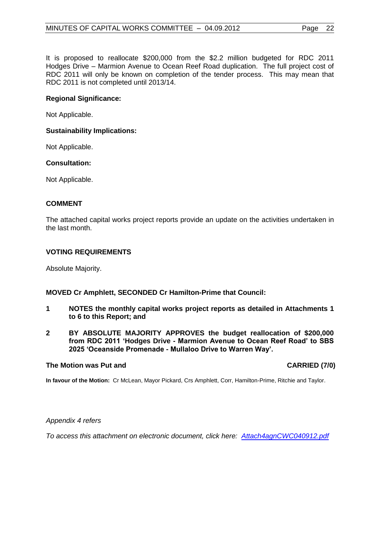It is proposed to reallocate \$200,000 from the \$2.2 million budgeted for RDC 2011 Hodges Drive – Marmion Avenue to Ocean Reef Road duplication. The full project cost of RDC 2011 will only be known on completion of the tender process. This may mean that RDC 2011 is not completed until 2013/14.

## **Regional Significance:**

Not Applicable.

## **Sustainability Implications:**

Not Applicable.

## **Consultation:**

Not Applicable.

## **COMMENT**

The attached capital works project reports provide an update on the activities undertaken in the last month.

## **VOTING REQUIREMENTS**

Absolute Majority.

## **MOVED Cr Amphlett, SECONDED Cr Hamilton-Prime that Council:**

- **1 NOTES the monthly capital works project reports as detailed in Attachments 1 to 6 to this Report; and**
- **2 BY ABSOLUTE MAJORITY APPROVES the budget reallocation of \$200,000 from RDC 2011 'Hodges Drive - Marmion Avenue to Ocean Reef Road' to SBS 2025 'Oceanside Promenade - Mullaloo Drive to Warren Way'.**

#### The Motion was Put and **CARRIED** (7/0)

**In favour of the Motion:** Cr McLean, Mayor Pickard, Crs Amphlett, Corr, Hamilton-Prime, Ritchie and Taylor.

#### *Appendix 4 refers*

*To access this attachment on electronic document, click here[:](Attach4agnCWC040912.pdf) [Attach4agnCWC040912.pdf](Attachments/Attach4agnCWC040912.pdf)*